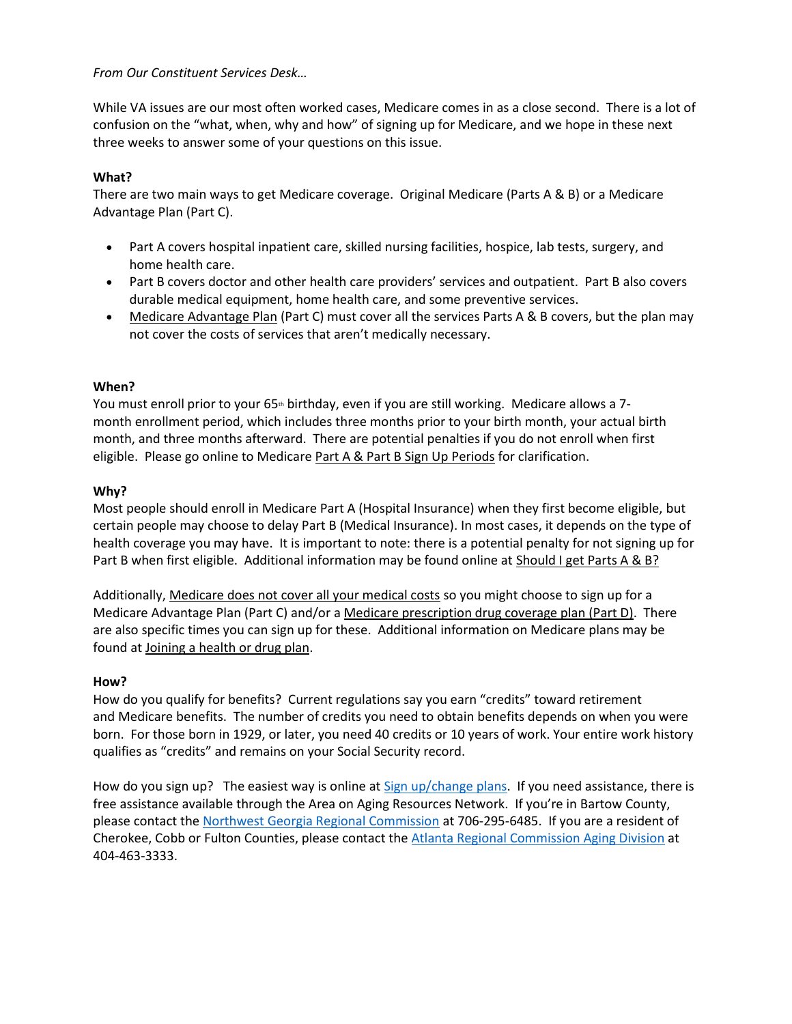### *From Our Constituent Services Desk…*

While VA issues are our most often worked cases, Medicare comes in as a close second. There is a lot of confusion on the "what, when, why and how" of signing up for Medicare, and we hope in these next three weeks to answer some of your questions on this issue.

# **What?**

There are two main ways to get Medicare coverage. Original Medicare (Parts A & B) or a Medicare Advantage Plan (Part C).

- Part A covers hospital inpatient care, skilled nursing facilities, hospice, lab tests, surgery, and home health care.
- Part B covers doctor and other health care providers' services and outpatient. Part B also covers durable medical equipment, home health care, and some preventive services.
- [Medicare Advantage Plan](https://www.medicare.gov/what-medicare-covers/what-medicare-health-plans-cover/medicare-advantage-plans-cover-all-medicare-services) (Part C) must cover all the services Parts A & B covers, but the plan may not cover the costs of services that aren't medically necessary.

# **When?**

You must enroll prior to your 65<sup>th</sup> birthday, even if you are still working. Medicare allows a 7month enrollment period, which includes three months prior to your birth month, your actual birth month, and three months afterward. There are potential penalties if you do not enroll when first eligible. Please go online to Medicare [Part A & Part B Sign Up Periods](https://www.medicare.gov/sign-up-change-plans/how-do-i-get-parts-a-b/part-a-part-b-sign-up-periods) for clarification.

# **Why?**

Most people should enroll in Medicare Part A (Hospital Insurance) when they first become eligible, but certain people may choose to delay Part B (Medical Insurance). In most cases, it depends on the type of health coverage you may have. It is important to note: there is a potential penalty for not signing up for Part B when first eligible. Additional information may be found online at [Should I get Parts A & B?](https://www.medicare.gov/sign-up-change-plans/how-do-i-get-parts-a-b/should-i-get-parts-a-b)

Additionally, [Medicare does not cover all your medical costs](https://www.medicare.gov/what-medicare-covers/whats-not-covered-by-part-a-part-b) so you might choose to sign up for a Medicare Advantage Plan (Part C) and/or a [Medicare prescription drug coverage plan \(Part D\).](https://www.medicare.gov/drug-coverage-part-d) There are also specific times you can sign up for these. Additional information on Medicare plans may be found at [Joining a health or drug plan.](https://www.medicare.gov/sign-up-change-plans/joining-a-health-or-drug-plan)

### **How?**

How do you qualify for benefits? Current regulations say you earn "credits" toward retirement and Medicare benefits. The number of credits you need to obtain benefits depends on when you were born. For those born in 1929, or later, you need 40 credits or 10 years of work. Your entire work history qualifies as "credits" and remains on your Social Security record.

How do you sign up? The easiest way is online at [Sign up/change plans.](https://www.medicare.gov/sign-up-change-plans) If you need assistance, there is free assistance available through the Area on Aging Resources Network. If you're in Bartow County, please contact the [Northwest Georgia Regional Commission](http://www.nwgrc.org/services/area-agency-on-aging/) at 706-295-6485. If you are a resident of Cherokee, Cobb or Fulton Counties, please contact the [Atlanta Regional Commission Aging Division](https://www.empowerline.org/resources/insurance-medicare-medicaid/) at 404-463-3333.